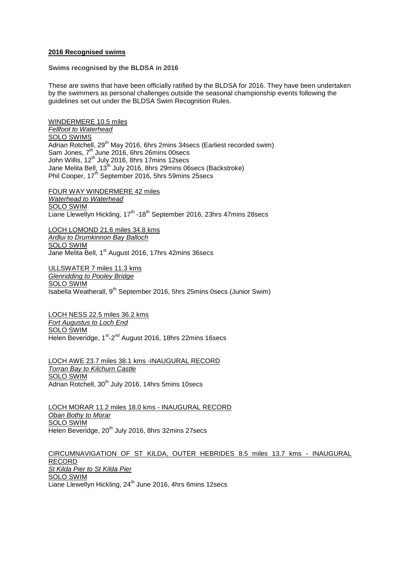## **2016 Recognised swims**

## **Swims recognised by the BLDSA in 2016**

These are swims that have been officially ratified by the BLDSA for 2016. They have been undertaken by the swimmers as personal challenges outside the seasonal championship events following the guidelines set out under the BLDSA Swim Recognition Rules.

WINDERMERE 10.5 miles *Fellfoot to Waterhead* SOLO SWIMS Adrian Rotchell, 29<sup>th</sup> May 2016, 6hrs 2mins 34secs (Earliest recorded swim) Sam Jones,  $7<sup>th</sup>$  June 2016, 6hrs 26mins 00secs John Willis, 12<sup>th</sup> July 2016, 8hrs 17mins 12secs Jane Melita Bell, 13<sup>th</sup> July 2016, 8hrs 29mins 06secs (Backstroke) Phil Cooper, 17<sup>th</sup> September 2016, 5hrs 59mins 25secs

FOUR WAY WINDERMERE 42 miles *Waterhead to Waterhead* SOLO SWIM Liane Llewellyn Hickling, 17<sup>th</sup> -18<sup>th</sup> September 2016, 23hrs 47mins 28secs

LOCH LOMOND 21.6 miles 34.8 kms *Ardlui to Drumkinnon Bay Balloch* SOLO SWIM Jane Melita Bell, 1<sup>st</sup> August 2016, 17hrs 42mins 36secs

ULLSWATER 7 miles 11.3 kms *Glenridding to Pooley Bridge* SOLO SWIM Isabella Weatherall, 9<sup>th</sup> September 2016, 5hrs 25mins 0secs (Junior Swim)

LOCH NESS 22.5 miles 36.2 kms *Fort Augustus to Loch End* SOLO SWIM Helen Beveridge, 1<sup>st</sup>-2<sup>nd</sup> August 2016, 18hrs 22mins 16secs

LOCH AWE 23.7 miles 38.1 kms -INAUGURAL RECORD *Torran Bay to Kilchurn Castle* SOLO SWIM Adrian Rotchell, 30<sup>th</sup> July 2016, 14hrs 5mins 10secs

LOCH MORAR 11.2 miles 18.0 kms - INAUGURAL RECORD *Oban Bothy to Morar* SOLO SWIM Helen Beveridge, 20<sup>th</sup> July 2016, 8hrs 32mins 27 secs

CIRCUMNAVIGATION OF ST KILDA, OUTER HEBRIDES 8.5 miles 13.7 kms - INAUGURAL RECORD *St Kilda Pier to St Kilda Pier* SOLO SWIM Liane Llewellyn Hickling, 24<sup>th</sup> June 2016, 4hrs 6mins 12secs